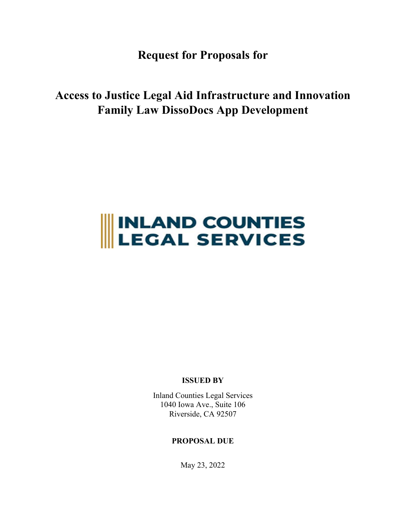**Request for Proposals for** 

**Access to Justice Legal Aid Infrastructure and Innovation Family Law DissoDocs App Development**

# **INLAND COUNTIES<br>LEGAL SERVICES**

**ISSUED BY** 

Inland Counties Legal Services 1040 Iowa Ave., Suite 106 Riverside, CA 92507

## **PROPOSAL DUE**

May 23, 2022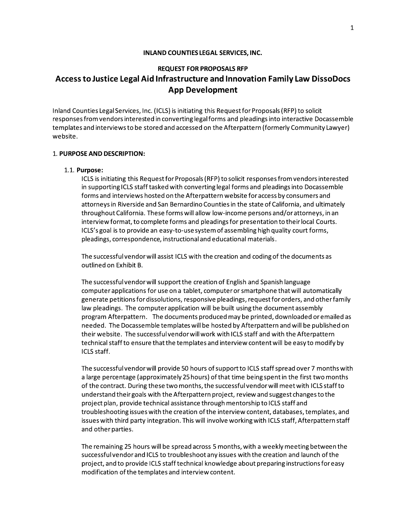#### INLAND COUNTIES LEGAL SERVICES, INC.

# **REQUEST FOR PROPOSALS RFP**

## Access to Justice Legal Aid Infrastructure and Innovation Family Law DissoDocs **App Development**

Inland Counties Legal Services, Inc. (ICLS) is initiating this Request for Proposals (RFP) to solicit responses from vendors interested in converting legal forms and pleadings into interactive Docassemble templates and interviews to be stored and accessed on the Afterpattern (formerly Community Lawyer) website.

#### 1. PURPOSE AND DESCRIPTION:

#### 1.1. Purpose:

ICLS is initiating this Request for Proposals (RFP) to solicit responses from vendors interested in supporting ICLS staff tasked with converting legal forms and pleadings into Docassemble forms and interviews hosted on the Afterpattern website for access by consumers and attorneys in Riverside and San Bernardino Counties in the state of California, and ultimately throughout California. These forms will allow low-income persons and/or attorneys, in an interview format, to complete forms and pleadings for presentation to their local Courts. ICLS's goal is to provide an easy-to-use system of assembling high quality court forms, pleadings, correspondence, instructional and educational materials.

The successful vendor will assist ICLS with the creation and coding of the documents as outlined on Exhibit B.

The successful vendor will support the creation of English and Spanish language computer applications for use on a tablet, computer or smartphone that will automatically generate petitions for dissolutions, responsive pleadings, request for orders, and other family law pleadings. The computer application will be built using the document assembly program Afterpattern. The documents produced may be printed, downloaded or emailed as needed. The Docassemble templates will be hosted by Afterpattern and will be published on their website. The successful vendor will work with ICLS staff and with the Afterpattern technical staff to ensure that the templates and interview content will be easy to modify by ICLS staff.

The successful vendor will provide 50 hours of support to ICLS staff spread over 7 months with a large percentage (approximately 25 hours) of that time being spent in the first two months of the contract. During these two months, the successful vendor will meet with ICLS staff to understand their goals with the Afterpattern project, review and suggest changes to the project plan, provide technical assistance through mentorship to ICLS staff and troubleshooting issues with the creation of the interview content, databases, templates, and issues with third party integration. This will involve working with ICLS staff, Afterpattern staff and other parties.

The remaining 25 hours will be spread across 5 months, with a weekly meeting between the successful vendor and ICLS to troubleshoot any issues with the creation and launch of the project, and to provide ICLS staff technical knowledge about preparing instructions for easy modification of the templates and interview content.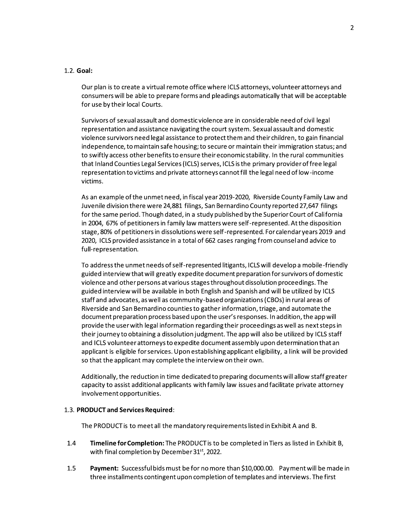#### $1.2.$  Goal:

Our plan is to create a virtual remote office where ICLS attorneys, volunteer attorneys and consumers will be able to prepare forms and pleadings automatically that will be acceptable for use by their local Courts.

Survivors of sexual assault and domestic violence are in considerable need of civil legal representation and assistance navigating the court system. Sexual assault and domestic violence survivors need legal assistance to protect them and their children, to gain financial independence, to maintain safe housing; to secure or maintain their immigration status; and to swiftly access other benefits to ensure their economic stability. In the rural communities that Inland Counties Legal Services (ICLS) serves, ICLS is the primary provider of free legal representation to victims and private attorneys cannot fill the legal need of low-income victims.

As an example of the unmet need, in fiscal year 2019-2020, Riverside County Family Law and Juvenile division there were 24,881 filings, San Bernardino County reported 27,647 filings for the same period. Though dated, in a study published by the Superior Court of California in 2004, 67% of petitioners in family law matters were self-represented. At the disposition stage, 80% of petitioners in dissolutions were self-represented. For calendar years 2019 and 2020, ICLS provided assistance in a total of 662 cases ranging from counsel and advice to full-representation.

To address the unmet needs of self-represented litigants, ICLS will develop a mobile-friendly guided interview that will greatly expedite document preparation for survivors of domestic violence and other persons at various stages throughout dissolution proceedings. The guided interview will be available in both English and Spanish and will be utilized by ICLS staff and advocates, as well as community-based organizations (CBOs) in rural areas of Riverside and San Bernardino counties to gather information, triage, and automate the document preparation process based upon the user's responses. In addition, the app will provide the user with legal information regarding their proceedings as well as next steps in their journey to obtaining a dissolution judgment. The app will also be utilized by ICLS staff and ICLS volunteer attorneys to expedite document assembly upon determination that an applicant is eligible for services. Upon establishing applicant eligibility, a link will be provided so that the applicant may complete the interview on their own.

Additionally, the reduction in time dedicated to preparing documents will allow staff greater capacity to assist additional applicants with family law issues and facilitate private attorney involvement opportunities.

#### 1.3. PRODUCT and Services Required:

The PRODUCT is to meet all the mandatory requirements listed in Exhibit A and B.

- $1.4$ Timeline for Completion: The PRODUCT is to be completed in Tiers as listed in Exhibit B, with final completion by December 31<sup>st</sup>, 2022.
- $1.5$ Payment: Successful bids must be for no more than \$10,000.00. Payment will be made in three installments contingent upon completion of templates and interviews. The first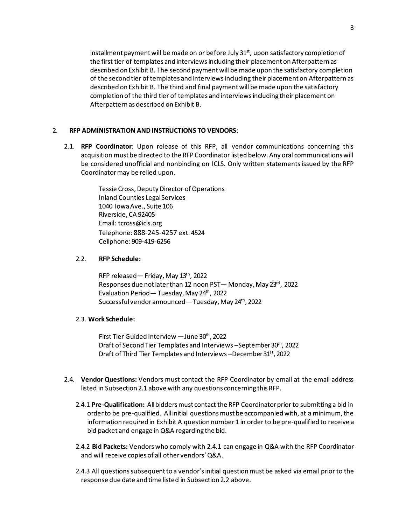installment payment will be made on or before July 31<sup>st</sup>, upon satisfactory completion of the first tier of templates and interviews including their placement on Afterpattern as described on Exhibit B. The second payment will be made upon the satisfactory completion of the second tier of templates and interviews including their placement on Afterpattern as described on Exhibit B. The third and final payment will be made upon the satisfactory completion of the third tier of templates and interviews including their placement on Afterpattern as described on Exhibit B.

#### RFP ADMINISTRATION AND INSTRUCTIONS TO VENDORS:  $2.$

2.1. RFP Coordinator: Upon release of this RFP, all vendor communications concerning this acquisition must be directed to the RFP Coordinator listed below. Any oral communications will be considered unofficial and nonbinding on ICLS. Only written statements issued by the RFP Coordinator may be relied upon.

> Tessie Cross, Deputy Director of Operations Inland Counties Legal Services 1040 Iowa Ave., Suite 106 Riverside, CA 92405 Email: tcross@icls.org Telephone: 888-245-4257 ext. 4524 Cellphone: 909-419-6256

#### $2.2.$ **RFP Schedule:**

RFP released - Friday, May 13th, 2022 Responses due not later than 12 noon PST-Monday, May 23rd, 2022 Evaluation Period - Tuesday, May 24th, 2022 Successful vendor announced - Tuesday, May 24th, 2022

#### 2.3. Work Schedule:

First Tier Guided Interview - June 30th, 2022 Draft of Second Tier Templates and Interviews – September 30th, 2022 Draft of Third Tier Templates and Interviews-December 31st, 2022

- 2.4. Vendor Questions: Vendors must contact the RFP Coordinator by email at the email address listed in Subsection 2.1 above with any questions concerning this RFP.
	- 2.4.1 Pre-Qualification: All bidders must contact the RFP Coordinator prior to submitting a bid in order to be pre-qualified. All initial questions must be accompanied with, at a minimum, the information required in Exhibit A question number 1 in order to be pre-qualified to receive a bid packet and engage in Q&A regarding the bid.
	- 2.4.2 Bid Packets: Vendors who comply with 2.4.1 can engage in Q&A with the RFP Coordinator and will receive copies of all other vendors' Q&A.
	- 2.4.3 All questions subsequent to a vendor's initial question must be asked via email prior to the response due date and time listed in Subsection 2.2 above.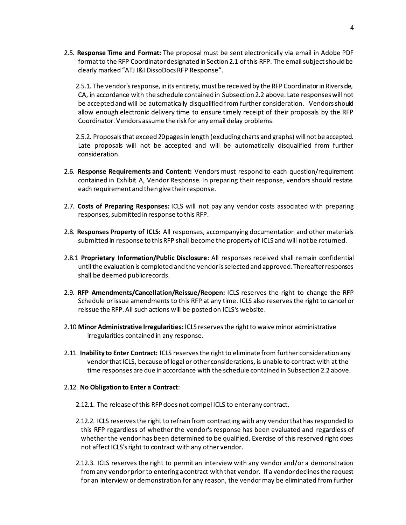2.5. Response Time and Format: The proposal must be sent electronically via email in Adobe PDF format to the RFP Coordinator designated in Section 2.1 of this RFP. The email subject should be clearly marked "ATJ I&I DissoDocs RFP Response".

2.5.1. The vendor's response, in its entirety, must be received by the RFP Coordinator in Riverside, CA, in accordance with the schedule contained in Subsection 2.2 above. Late responses will not be accepted and will be automatically disqualified from further consideration. Vendors should allow enough electronic delivery time to ensure timely receipt of their proposals by the RFP Coordinator. Vendors assume the risk for any email delay problems.

2.5.2. Proposals that exceed 20 pages in length (excluding charts and graphs) will not be accepted. Late proposals will not be accepted and will be automatically disqualified from further consideration.

- 2.6. Response Requirements and Content: Vendors must respond to each question/requirement contained in Exhibit A, Vendor Response. In preparing their response, vendors should restate each requirement and then give their response.
- 2.7. Costs of Preparing Responses: ICLS will not pay any vendor costs associated with preparing responses, submitted in response to this RFP.
- 2.8. Responses Property of ICLS: All responses, accompanying documentation and other materials submitted in response to this RFP shall become the property of ICLS and will not be returned.
- 2.8.1 Proprietary Information/Public Disclosure: All responses received shall remain confidential until the evaluation is completed and the vendor is selected and approved. Thereafter responses shall be deemed public records.
- 2.9. RFP Amendments/Cancellation/Reissue/Reopen: ICLS reserves the right to change the RFP Schedule or issue amendments to this RFP at any time. ICLS also reserves the right to cancel or reissue the RFP. All such actions will be posted on ICLS's website.
- 2.10 Minor Administrative Irregularities: ICLS reserves the right to waive minor administrative irregularities contained in any response.
- 2.11. Inability to Enter Contract: ICLS reserves the right to eliminate from further consideration any vendor that ICLS, because of legal or other considerations, is unable to contract with at the time responses are due in accordance with the schedule contained in Subsection 2.2 above.

#### 2.12. No Obligation to Enter a Contract:

- 2.12.1. The release of this RFP does not compel ICLS to enter any contract.
- 2.12.2. ICLS reserves the right to refrain from contracting with any vendor that has responded to this RFP regardless of whether the vendor's response has been evaluated and regardless of whether the vendor has been determined to be qualified. Exercise of this reserved right does not affect ICLS's right to contract with any other vendor.
- 2.12.3. ICLS reserves the right to permit an interview with any vendor and/or a demonstration from any vendor prior to entering a contract with that vendor. If a vendor declines the request for an interview or demonstration for any reason, the vendor may be eliminated from further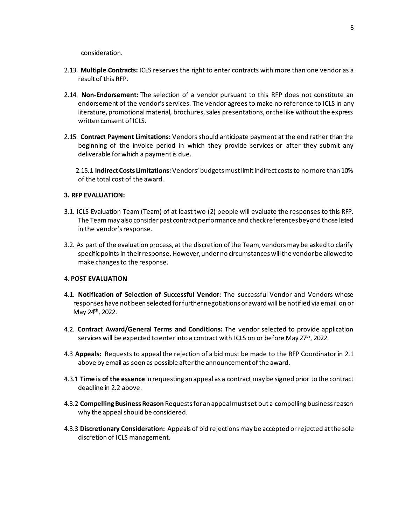consideration.

- 2.13. Multiple Contracts: ICLS reserves the right to enter contracts with more than one vendor as a result of this RFP.
- 2.14. Non-Endorsement: The selection of a vendor pursuant to this RFP does not constitute an endorsement of the vendor's services. The vendor agrees to make no reference to ICLS in any literature, promotional material, brochures, sales presentations, or the like without the express written consent of ICLS.
- 2.15. Contract Payment Limitations: Vendors should anticipate payment at the end rather than the beginning of the invoice period in which they provide services or after they submit any deliverable for which a payment is due.

2.15.1 Indirect Costs Limitations: Vendors' budgets must limit indirect costs to no more than 10% of the total cost of the award.

### **3. RFP EVALUATION:**

- 3.1. ICLS Evaluation Team (Team) of at least two (2) people will evaluate the responses to this RFP. The Team may also consider past contract performance and check references beyond those listed in the vendor's response.
- 3.2. As part of the evaluation process, at the discretion of the Team, vendors may be asked to clarify specific points in their response. However, under no circumstances will the vendor be allowed to make changes to the response.

#### **4. POST EVALUATION**

- 4.1. Notification of Selection of Successful Vendor: The successful Vendor and Vendors whose responses have not been selected for further negotiations or award will be notified via email on or May 24th, 2022.
- 4.2. Contract Award/General Terms and Conditions: The vendor selected to provide application services will be expected to enter into a contract with ICLS on or before May 27th, 2022.
- 4.3 Appeals: Requests to appeal the rejection of a bid must be made to the RFP Coordinator in 2.1 above by email as soon as possible after the announcement of the award.
- 4.3.1 Time is of the essence in requesting an appeal as a contract may be signed prior to the contract deadline in 2.2 above.
- 4.3.2 Compelling Business Reason Requests for an appeal must set out a compelling business reason why the appeal should be considered.
- 4.3.3 Discretionary Consideration: Appeals of bid rejections may be accepted or rejected at the sole discretion of ICLS management.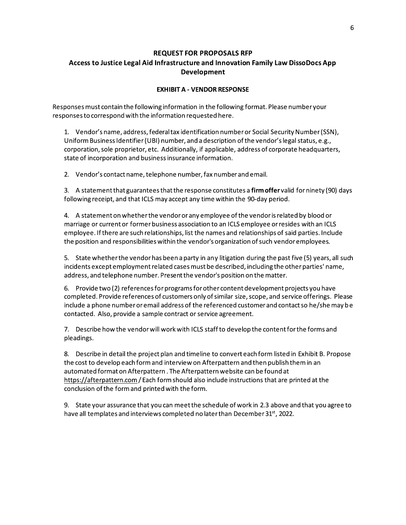## **REQUEST FOR PROPOSALS RFP** Access to Justice Legal Aid Infrastructure and Innovation Family Law DissoDocs App Development

## **EXHIBIT A - VENDOR RESPONSE**

Responses must contain the following information in the following format. Please number your responses to correspond with the information requested here.

1. Vendor's name, address, federal tax identification number or Social Security Number (SSN), Uniform Business Identifier (UBI) number, and a description of the vendor's legal status, e.g., corporation, sole proprietor, etc. Additionally, if applicable, address of corporate headquarters, state of incorporation and business insurance information.

2. Vendor's contact name, telephone number, fax number and email.

3. A statement that guarantees that the response constitutes a firm offer valid for ninety (90) days following receipt, and that ICLS may accept any time within the 90-day period.

4. A statement on whether the vendor or any employee of the vendor is related by blood or marriage or current or former business association to an ICLS employee or resides with an ICLS employee. If there are such relationships, list the names and relationships of said parties. Include the position and responsibilities within the vendor's organization of such vendor employees.

5. State whether the vendor has been a party in any litigation during the past five (5) years, all such incidents except employment related cases must be described, including the other parties' name, address, and telephone number. Present the vendor's position on the matter.

6. Provide two (2) references for programs for other content development projects you have completed. Provide references of customers only of similar size, scope, and service offerings. Please include a phone number or email address of the referenced customer and contact so he/she may be contacted. Also, provide a sample contract or service agreement.

7. Describe how the vendor will work with ICLS staff to develop the content for the forms and pleadings.

8. Describe in detail the project plan and timeline to convert each form listed in Exhibit B. Propose the cost to develop each form and interview on Afterpattern and then publish them in an automated format on Afterpattern. The Afterpattern website can be found at https://afterpattern.com/Each form should also include instructions that are printed at the conclusion of the form and printed with the form.

9. State your assurance that you can meet the schedule of work in 2.3 above and that you agree to have all templates and interviews completed no later than December 31<sup>st</sup>, 2022.